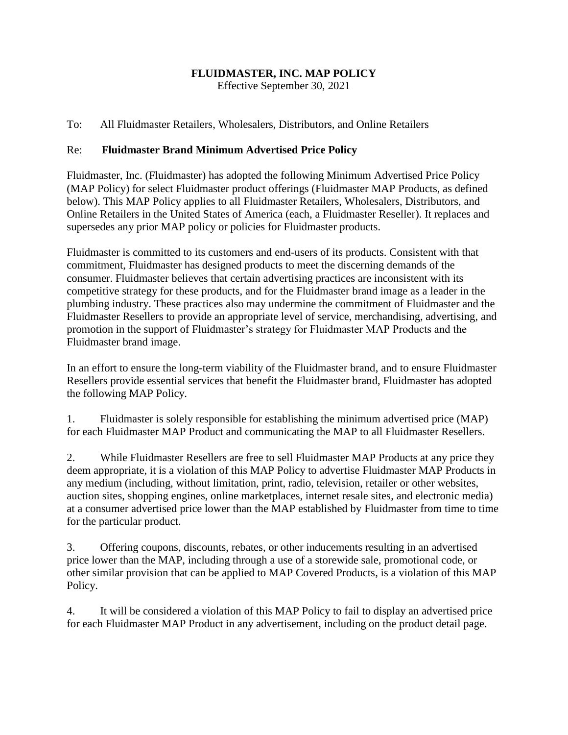### **FLUIDMASTER, INC. MAP POLICY**

Effective September 30, 2021

### To: All Fluidmaster Retailers, Wholesalers, Distributors, and Online Retailers

#### Re: **Fluidmaster Brand Minimum Advertised Price Policy**

Fluidmaster, Inc. (Fluidmaster) has adopted the following Minimum Advertised Price Policy (MAP Policy) for select Fluidmaster product offerings (Fluidmaster MAP Products, as defined below). This MAP Policy applies to all Fluidmaster Retailers, Wholesalers, Distributors, and Online Retailers in the United States of America (each, a Fluidmaster Reseller). It replaces and supersedes any prior MAP policy or policies for Fluidmaster products.

Fluidmaster is committed to its customers and end-users of its products. Consistent with that commitment, Fluidmaster has designed products to meet the discerning demands of the consumer. Fluidmaster believes that certain advertising practices are inconsistent with its competitive strategy for these products, and for the Fluidmaster brand image as a leader in the plumbing industry. These practices also may undermine the commitment of Fluidmaster and the Fluidmaster Resellers to provide an appropriate level of service, merchandising, advertising, and promotion in the support of Fluidmaster's strategy for Fluidmaster MAP Products and the Fluidmaster brand image.

In an effort to ensure the long-term viability of the Fluidmaster brand, and to ensure Fluidmaster Resellers provide essential services that benefit the Fluidmaster brand, Fluidmaster has adopted the following MAP Policy.

1. Fluidmaster is solely responsible for establishing the minimum advertised price (MAP) for each Fluidmaster MAP Product and communicating the MAP to all Fluidmaster Resellers.

2. While Fluidmaster Resellers are free to sell Fluidmaster MAP Products at any price they deem appropriate, it is a violation of this MAP Policy to advertise Fluidmaster MAP Products in any medium (including, without limitation, print, radio, television, retailer or other websites, auction sites, shopping engines, online marketplaces, internet resale sites, and electronic media) at a consumer advertised price lower than the MAP established by Fluidmaster from time to time for the particular product.

3. Offering coupons, discounts, rebates, or other inducements resulting in an advertised price lower than the MAP, including through a use of a storewide sale, promotional code, or other similar provision that can be applied to MAP Covered Products, is a violation of this MAP Policy.

4. It will be considered a violation of this MAP Policy to fail to display an advertised price for each Fluidmaster MAP Product in any advertisement, including on the product detail page.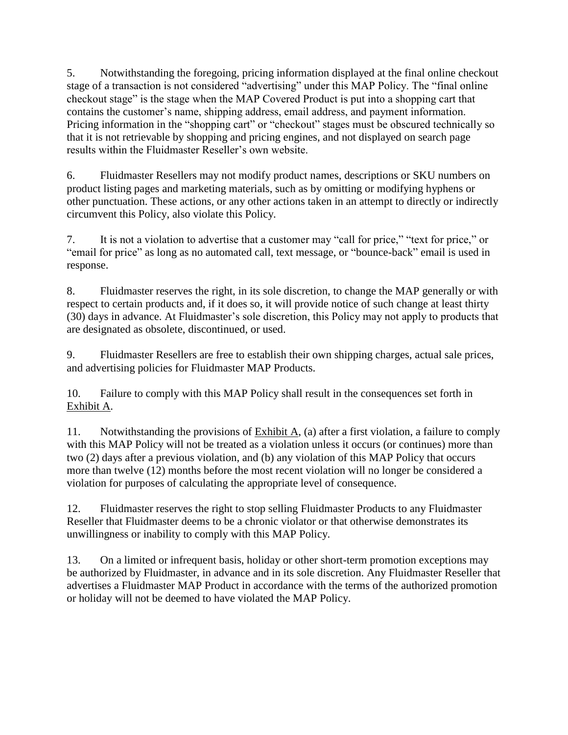5. Notwithstanding the foregoing, pricing information displayed at the final online checkout stage of a transaction is not considered "advertising" under this MAP Policy. The "final online checkout stage" is the stage when the MAP Covered Product is put into a shopping cart that contains the customer's name, shipping address, email address, and payment information. Pricing information in the "shopping cart" or "checkout" stages must be obscured technically so that it is not retrievable by shopping and pricing engines, and not displayed on search page results within the Fluidmaster Reseller's own website.

6. Fluidmaster Resellers may not modify product names, descriptions or SKU numbers on product listing pages and marketing materials, such as by omitting or modifying hyphens or other punctuation. These actions, or any other actions taken in an attempt to directly or indirectly circumvent this Policy, also violate this Policy.

7. It is not a violation to advertise that a customer may "call for price," "text for price," or "email for price" as long as no automated call, text message, or "bounce-back" email is used in response.

8. Fluidmaster reserves the right, in its sole discretion, to change the MAP generally or with respect to certain products and, if it does so, it will provide notice of such change at least thirty (30) days in advance. At Fluidmaster's sole discretion, this Policy may not apply to products that are designated as obsolete, discontinued, or used.

9. Fluidmaster Resellers are free to establish their own shipping charges, actual sale prices, and advertising policies for Fluidmaster MAP Products.

10. Failure to comply with this MAP Policy shall result in the consequences set forth in Exhibit A.

11. Notwithstanding the provisions of  $Exhibit A$ , (a) after a first violation, a failure to comply with this MAP Policy will not be treated as a violation unless it occurs (or continues) more than two (2) days after a previous violation, and (b) any violation of this MAP Policy that occurs more than twelve (12) months before the most recent violation will no longer be considered a violation for purposes of calculating the appropriate level of consequence.

12. Fluidmaster reserves the right to stop selling Fluidmaster Products to any Fluidmaster Reseller that Fluidmaster deems to be a chronic violator or that otherwise demonstrates its unwillingness or inability to comply with this MAP Policy.

13. On a limited or infrequent basis, holiday or other short-term promotion exceptions may be authorized by Fluidmaster, in advance and in its sole discretion. Any Fluidmaster Reseller that advertises a Fluidmaster MAP Product in accordance with the terms of the authorized promotion or holiday will not be deemed to have violated the MAP Policy.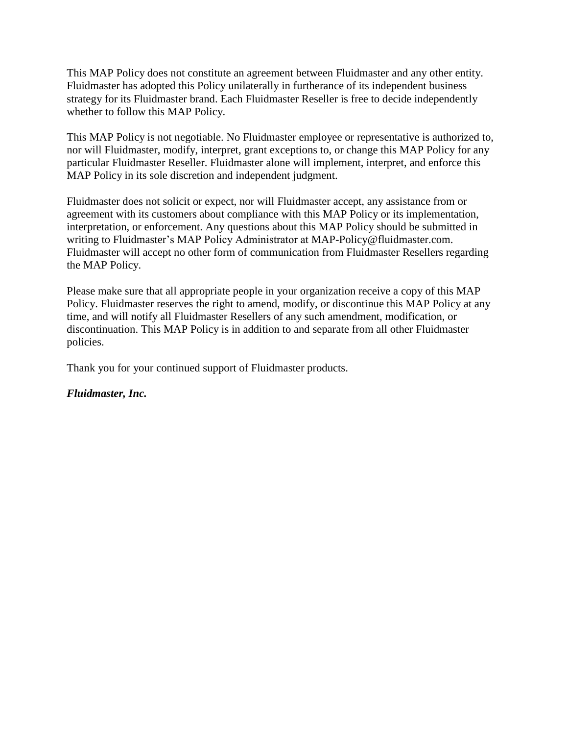This MAP Policy does not constitute an agreement between Fluidmaster and any other entity. Fluidmaster has adopted this Policy unilaterally in furtherance of its independent business strategy for its Fluidmaster brand. Each Fluidmaster Reseller is free to decide independently whether to follow this MAP Policy.

This MAP Policy is not negotiable. No Fluidmaster employee or representative is authorized to, nor will Fluidmaster, modify, interpret, grant exceptions to, or change this MAP Policy for any particular Fluidmaster Reseller. Fluidmaster alone will implement, interpret, and enforce this MAP Policy in its sole discretion and independent judgment.

Fluidmaster does not solicit or expect, nor will Fluidmaster accept, any assistance from or agreement with its customers about compliance with this MAP Policy or its implementation, interpretation, or enforcement. Any questions about this MAP Policy should be submitted in writing to Fluidmaster's MAP Policy Administrator at MAP-Policy@fluidmaster.com. Fluidmaster will accept no other form of communication from Fluidmaster Resellers regarding the MAP Policy.

Please make sure that all appropriate people in your organization receive a copy of this MAP Policy. Fluidmaster reserves the right to amend, modify, or discontinue this MAP Policy at any time, and will notify all Fluidmaster Resellers of any such amendment, modification, or discontinuation. This MAP Policy is in addition to and separate from all other Fluidmaster policies.

Thank you for your continued support of Fluidmaster products.

*Fluidmaster, Inc.*